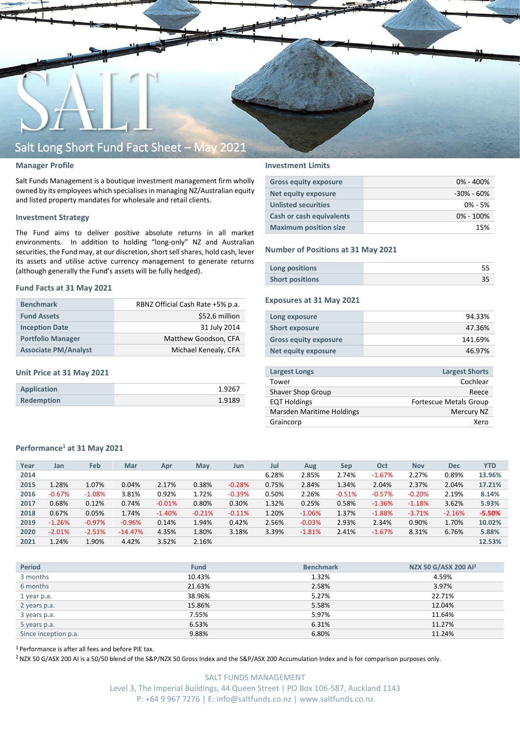

## **Manager Profile**

Salt Funds Management is a boutique investment management firm wholly owned by its employees which specialisesin managing NZ/Australian equity and listed property mandates for wholesale and retail clients.

## **Investment Strategy**

The Fund aims to deliver positive absolute returns in all market environments. In addition to holding "long-only" NZ and Australian securities, the Fund may, at our discretion, short sell shares, hold cash, lever its assets and utilise active currency management to generate returns (although generally the Fund's assets will be fully hedged).

### **Fund Facts at 31 May 2021**

| <b>Benchmark</b>            | RBNZ Official Cash Rate +5% p.a. |  |  |  |
|-----------------------------|----------------------------------|--|--|--|
| <b>Fund Assets</b>          | \$52.6 million                   |  |  |  |
| <b>Inception Date</b>       | 31 July 2014                     |  |  |  |
| <b>Portfolio Manager</b>    | Matthew Goodson, CFA             |  |  |  |
| <b>Associate PM/Analyst</b> | Michael Kenealy, CFA             |  |  |  |

## **Unit Price at 31 May 2021**

| Application       | 1.9267 |
|-------------------|--------|
| <b>Redemption</b> | 1.9189 |

## **Investment Limits**

| <b>Gross equity exposure</b> | $0\% - 400\%$  |
|------------------------------|----------------|
| <b>Net equity exposure</b>   | $-30\% - 60\%$ |
| <b>Unlisted securities</b>   | $0\% - 5\%$    |
| Cash or cash equivalents     | $0\% - 100\%$  |
| <b>Maximum position size</b> | 15%            |

### **Number of Positions at 31 May 2021**

| Long positions         |  |
|------------------------|--|
| <b>Short positions</b> |  |

## **Exposures at 31 May 2021**

| Long exposure                | 94.33%  |
|------------------------------|---------|
| <b>Short exposure</b>        | 47.36%  |
| <b>Gross equity exposure</b> | 141.69% |
| Net equity exposure          | 46.97%  |

| <b>Largest Longs</b>      | <b>Largest Shorts</b>         |
|---------------------------|-------------------------------|
| Tower                     | Cochlear                      |
| Shaver Shop Group         | Reece                         |
| <b>EQT Holdings</b>       | <b>Fortescue Metals Group</b> |
| Marsden Maritime Holdings | Mercury NZ                    |
| Graincorp                 | Xero                          |
|                           |                               |

## **Performance<sup>1</sup> at 31 May 2021**

| Feb<br>Jul<br>Year<br>Mar<br>Oct<br><b>Nov</b><br><b>Dec</b><br>Jan<br>Apr<br>May<br>Aug<br>Sep<br>Jun                                | 2014 |  |  |  |       |       |       |          |       |       |            |
|---------------------------------------------------------------------------------------------------------------------------------------|------|--|--|--|-------|-------|-------|----------|-------|-------|------------|
|                                                                                                                                       |      |  |  |  |       |       |       |          |       |       | <b>YTD</b> |
|                                                                                                                                       |      |  |  |  | 6.28% | 2.85% | 2.74% | $-1.67%$ | 2.27% | 0.89% | 13.96%     |
| 1.28%<br>1.07%<br>0.75%<br>2.84%<br>2.04%<br>2.37%<br>0.38%<br>1.34%<br>2.04%<br>2015<br>0.04%<br>2.17%<br>$-0.28%$                   |      |  |  |  |       |       |       |          |       |       | 17.21%     |
| 0.92%<br>1.72%<br>2.26%<br>$-0.67%$<br>3.81%<br>$-0.39%$<br>0.50%<br>$-0.57%$<br>2.19%<br>$-1.08\%$<br>$-0.51%$<br>$-0.20%$<br>2016   |      |  |  |  |       |       |       |          |       |       | 8.14%      |
| 0.68%<br>0.30%<br>1.32%<br>3.62%<br>0.12%<br>0.74%<br>0.80%<br>0.25%<br>0.58%<br>$-0.01%$<br>$-1.36%$<br>$-1.18%$<br>2017             |      |  |  |  |       |       |       |          |       |       | 5.93%      |
| 0.67%<br>0.05%<br>1.20%<br>1.37%<br>1.74%<br>$-0.21%$<br>$-1.88%$<br>$-1.40%$<br>$-0.11%$<br>$-1.06%$<br>$-3.71%$<br>$-2.16%$<br>2018 |      |  |  |  |       |       |       |          |       |       | $-5.50%$   |
| 1.94%<br>0.42%<br>2.56%<br>2.93%<br>1.70%<br>$-1.26%$<br>$-0.97\%$<br>2.34%<br>0.90%<br>$-0.96%$<br>0.14%<br>$-0.03%$<br>2019         |      |  |  |  |       |       |       |          |       |       | 10.02%     |
| 4.35%<br>3.18%<br>1.80%<br>3.39%<br>8.31%<br>$-2.01%$<br>$-2.51%$<br>$-14.47%$<br>2.41%<br>$-1.67%$<br>6.76%<br>2020<br>$-1.81%$      |      |  |  |  |       |       |       |          |       |       | 5.88%      |
| 3.52%<br>1.90%<br>1.24%<br>4.42%<br>2.16%<br>2021                                                                                     |      |  |  |  |       |       |       |          |       |       | 12.53%     |

| <b>Period</b>        | <b>Fund</b> | <b>Benchmark</b> | NZX 50 G/ASX 200 Al <sup>2</sup> |
|----------------------|-------------|------------------|----------------------------------|
| 3 months             | 10.43%      | 1.32%            | 4.59%                            |
| 6 months             | 21.63%      | 2.58%            | 3.97%                            |
| 1 year p.a.          | 38.96%      | 5.27%            | 22.71%                           |
| 2 years p.a.         | 15.86%      | 5.58%            | 12.04%                           |
| 3 years p.a.         | 7.55%       | 5.97%            | 11.64%                           |
| 5 years p.a.         | 6.53%       | 6.31%            | 11.27%                           |
| Since inception p.a. | 9.88%       | 6.80%            | 11.24%                           |

<sup>1</sup> Performance is after all fees and before PIE tax.

<sup>2</sup> NZX 50 G/ASX 200 AI is a 50/50 blend of the S&P/NZX 50 Gross Index and the S&P/ASX 200 Accumulation Index and is for comparison purposes only.

SALT FUNDS MANAGEMENT Level 3, The Imperial Buildings, 44 Queen Street | PO Box 106-587, Auckland 1143 P: +64 9 967 7276 | E: info@saltfunds.co.nz | www.saltfunds.co.nz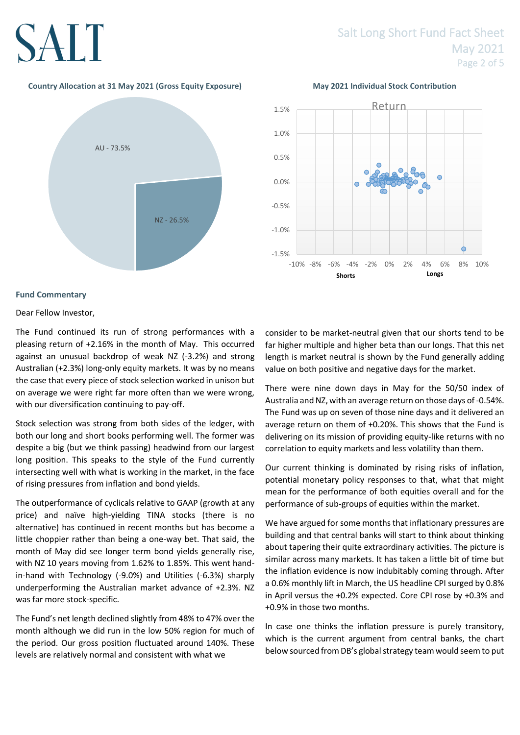## SALT

## **Country Allocation at 31 May 2021 (Gross Equity Exposure) May 2021 Individual Stock Contribution**





## **Fund Commentary**

Dear Fellow Investor,

The Fund continued its run of strong performances with a pleasing return of +2.16% in the month of May. This occurred against an unusual backdrop of weak NZ (-3.2%) and strong Australian (+2.3%) long-only equity markets. It was by no means the case that every piece of stock selection worked in unison but on average we were right far more often than we were wrong, with our diversification continuing to pay-off.

Stock selection was strong from both sides of the ledger, with both our long and short books performing well. The former was despite a big (but we think passing) headwind from our largest long position. This speaks to the style of the Fund currently intersecting well with what is working in the market, in the face of rising pressures from inflation and bond yields.

The outperformance of cyclicals relative to GAAP (growth at any price) and naïve high-yielding TINA stocks (there is no alternative) has continued in recent months but has become a little choppier rather than being a one-way bet. That said, the month of May did see longer term bond yields generally rise, with NZ 10 years moving from 1.62% to 1.85%. This went handin-hand with Technology (-9.0%) and Utilities (-6.3%) sharply underperforming the Australian market advance of +2.3%. NZ was far more stock-specific.

The Fund's net length declined slightly from 48% to 47% over the month although we did run in the low 50% region for much of the period. Our gross position fluctuated around 140%. These levels are relatively normal and consistent with what we

consider to be market-neutral given that our shorts tend to be far higher multiple and higher beta than our longs. That this net length is market neutral is shown by the Fund generally adding value on both positive and negative days for the market.

There were nine down days in May for the 50/50 index of Australia and NZ, with an average return on those days of -0.54%. The Fund was up on seven of those nine days and it delivered an average return on them of +0.20%. This shows that the Fund is delivering on its mission of providing equity-like returns with no correlation to equity markets and less volatility than them.

Our current thinking is dominated by rising risks of inflation, potential monetary policy responses to that, what that might mean for the performance of both equities overall and for the performance of sub-groups of equities within the market.

We have argued for some months that inflationary pressures are building and that central banks will start to think about thinking about tapering their quite extraordinary activities. The picture is similar across many markets. It has taken a little bit of time but the inflation evidence is now indubitably coming through. After a 0.6% monthly lift in March, the US headline CPI surged by 0.8% in April versus the +0.2% expected. Core CPI rose by +0.3% and +0.9% in those two months.

In case one thinks the inflation pressure is purely transitory, which is the current argument from central banks, the chart below sourced from DB's global strategy team would seem to put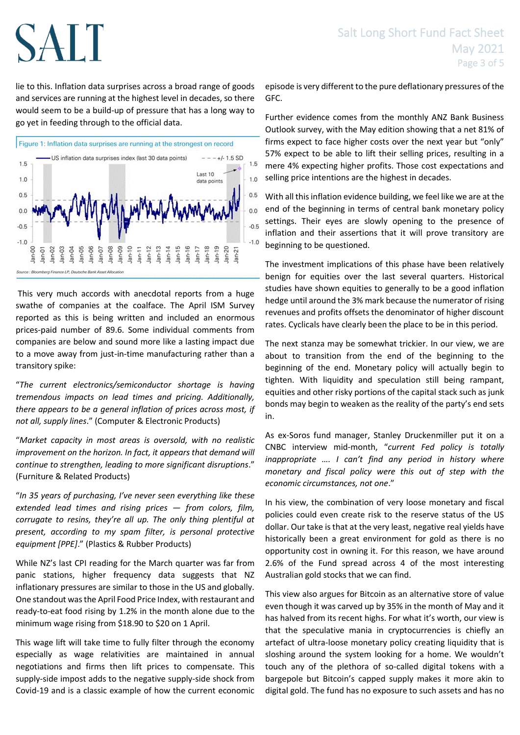# SALT

lie to this. Inflation data surprises across a broad range of goods and services are running at the highest level in decades, so there would seem to be a build-up of pressure that has a long way to go yet in feeding through to the official data.



This very much accords with anecdotal reports from a huge swathe of companies at the coalface. The April ISM Survey reported as this is being written and included an enormous prices-paid number of 89.6. Some individual comments from companies are below and sound more like a lasting impact due to a move away from just-in-time manufacturing rather than a transitory spike:

"*The current electronics/semiconductor shortage is having tremendous impacts on lead times and pricing. Additionally, there appears to be a general inflation of prices across most, if not all, supply lines*." (Computer & Electronic Products)

"*Market capacity in most areas is oversold, with no realistic*  improvement on the horizon. In fact, it appears that demand will *continue to strengthen, leading to more significant disruptions*." (Furniture & Related Products)

"*In 35 years of purchasing, I've never seen everything like these extended lead times and rising prices — from colors, film, corrugate to resins, they're all up. The only thing plentiful at present, according to my spam filter, is personal protective equipment [PPE]*." (Plastics & Rubber Products)

While NZ's last CPI reading for the March quarter was far from panic stations, higher frequency data suggests that NZ inflationary pressures are similar to those in the US and globally. One standout was the April Food Price Index, with restaurant and ready-to-eat food rising by 1.2% in the month alone due to the minimum wage rising from \$18.90 to \$20 on 1 April.

This wage lift will take time to fully filter through the economy especially as wage relativities are maintained in annual negotiations and firms then lift prices to compensate. This supply-side impost adds to the negative supply-side shock from Covid-19 and is a classic example of how the current economic episode is very different to the pure deflationary pressures of the GFC.

Further evidence comes from the monthly ANZ Bank Business Outlook survey, with the May edition showing that a net 81% of firms expect to face higher costs over the next year but "only" 57% expect to be able to lift their selling prices, resulting in a mere 4% expecting higher profits. Those cost expectations and selling price intentions are the highest in decades.

With all this inflation evidence building, we feel like we are at the end of the beginning in terms of central bank monetary policy settings. Their eyes are slowly opening to the presence of inflation and their assertions that it will prove transitory are beginning to be questioned.

The investment implications of this phase have been relatively benign for equities over the last several quarters. Historical studies have shown equities to generally to be a good inflation hedge until around the 3% mark because the numerator of rising revenues and profits offsets the denominator of higher discount rates. Cyclicals have clearly been the place to be in this period.

The next stanza may be somewhat trickier. In our view, we are about to transition from the end of the beginning to the beginning of the end. Monetary policy will actually begin to tighten. With liquidity and speculation still being rampant, equities and other risky portions of the capital stack such as junk bonds may begin to weaken as the reality of the party's end sets in.

As ex-Soros fund manager, Stanley Druckenmiller put it on a CNBC interview mid-month, "*current Fed policy is totally inappropriate …. I can't find any period in history where monetary and fiscal policy were this out of step with the economic circumstances, not one*."

In his view, the combination of very loose monetary and fiscal policies could even create risk to the reserve status of the US dollar. Our take is that at the very least, negative real yields have historically been a great environment for gold as there is no opportunity cost in owning it. For this reason, we have around 2.6% of the Fund spread across 4 of the most interesting Australian gold stocks that we can find.

This view also argues for Bitcoin as an alternative store of value even though it was carved up by 35% in the month of May and it has halved from its recent highs. For what it's worth, our view is that the speculative mania in cryptocurrencies is chiefly an artefact of ultra-loose monetary policy creating liquidity that is sloshing around the system looking for a home. We wouldn't touch any of the plethora of so-called digital tokens with a bargepole but Bitcoin's capped supply makes it more akin to digital gold. The fund has no exposure to such assets and has no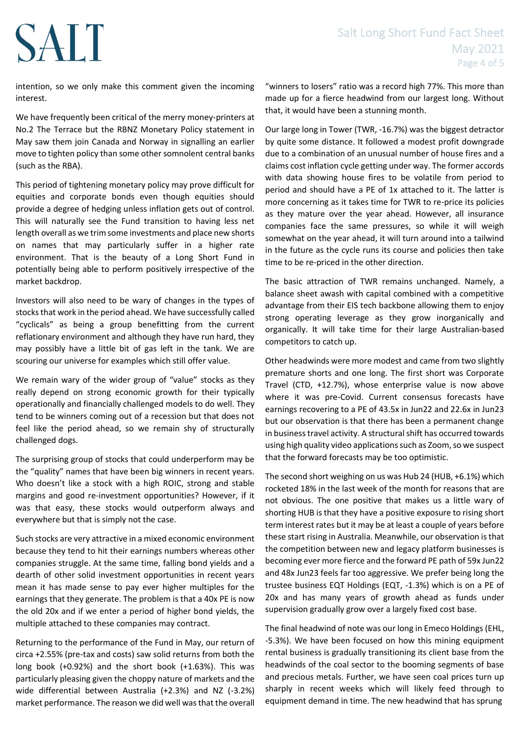## Salt Long Short Fund Fact Sheet May 2021 Page 4 of 5

## intention, so we only make this comment given the incoming interest.

**SALT** 

We have frequently been critical of the merry money-printers at No.2 The Terrace but the RBNZ Monetary Policy statement in May saw them join Canada and Norway in signalling an earlier move to tighten policy than some other somnolent central banks (such as the RBA).

This period of tightening monetary policy may prove difficult for equities and corporate bonds even though equities should provide a degree of hedging unless inflation gets out of control. This will naturally see the Fund transition to having less net length overall as we trim some investments and place new shorts on names that may particularly suffer in a higher rate environment. That is the beauty of a Long Short Fund in potentially being able to perform positively irrespective of the market backdrop.

Investors will also need to be wary of changes in the types of stocks that work in the period ahead. We have successfully called "cyclicals" as being a group benefitting from the current reflationary environment and although they have run hard, they may possibly have a little bit of gas left in the tank. We are scouring our universe for examples which still offer value.

We remain wary of the wider group of "value" stocks as they really depend on strong economic growth for their typically operationally and financially challenged models to do well. They tend to be winners coming out of a recession but that does not feel like the period ahead, so we remain shy of structurally challenged dogs.

The surprising group of stocks that could underperform may be the "quality" names that have been big winners in recent years. Who doesn't like a stock with a high ROIC, strong and stable margins and good re-investment opportunities? However, if it was that easy, these stocks would outperform always and everywhere but that is simply not the case.

Such stocks are very attractive in a mixed economic environment because they tend to hit their earnings numbers whereas other companies struggle. At the same time, falling bond yields and a dearth of other solid investment opportunities in recent years mean it has made sense to pay ever higher multiples for the earnings that they generate. The problem is that a 40x PE is now the old 20x and if we enter a period of higher bond yields, the multiple attached to these companies may contract.

Returning to the performance of the Fund in May, our return of circa +2.55% (pre-tax and costs) saw solid returns from both the long book (+0.92%) and the short book (+1.63%). This was particularly pleasing given the choppy nature of markets and the wide differential between Australia (+2.3%) and NZ (-3.2%) market performance. The reason we did well was that the overall

"winners to losers" ratio was a record high 77%. This more than made up for a fierce headwind from our largest long. Without that, it would have been a stunning month.

Our large long in Tower (TWR, -16.7%) was the biggest detractor by quite some distance. It followed a modest profit downgrade due to a combination of an unusual number of house fires and a claims cost inflation cycle getting under way. The former accords with data showing house fires to be volatile from period to period and should have a PE of 1x attached to it. The latter is more concerning as it takes time for TWR to re-price its policies as they mature over the year ahead. However, all insurance companies face the same pressures, so while it will weigh somewhat on the year ahead, it will turn around into a tailwind in the future as the cycle runs its course and policies then take time to be re-priced in the other direction.

The basic attraction of TWR remains unchanged. Namely, a balance sheet awash with capital combined with a competitive advantage from their EIS tech backbone allowing them to enjoy strong operating leverage as they grow inorganically and organically. It will take time for their large Australian-based competitors to catch up.

Other headwinds were more modest and came from two slightly premature shorts and one long. The first short was Corporate Travel (CTD, +12.7%), whose enterprise value is now above where it was pre-Covid. Current consensus forecasts have earnings recovering to a PE of 43.5x in Jun22 and 22.6x in Jun23 but our observation is that there has been a permanent change in business travel activity. A structural shift has occurred towards using high quality video applications such as Zoom, so we suspect that the forward forecasts may be too optimistic.

The second short weighing on us was Hub 24 (HUB, +6.1%) which rocketed 18% in the last week of the month for reasons that are not obvious. The one positive that makes us a little wary of shorting HUB is that they have a positive exposure to rising short term interest rates but it may be at least a couple of years before these start rising in Australia. Meanwhile, our observation is that the competition between new and legacy platform businesses is becoming ever more fierce and the forward PE path of 59x Jun22 and 48x Jun23 feels far too aggressive. We prefer being long the trustee business EQT Holdings (EQT, -1.3%) which is on a PE of 20x and has many years of growth ahead as funds under supervision gradually grow over a largely fixed cost base.

The final headwind of note was our long in Emeco Holdings (EHL, -5.3%). We have been focused on how this mining equipment rental business is gradually transitioning its client base from the headwinds of the coal sector to the booming segments of base and precious metals. Further, we have seen coal prices turn up sharply in recent weeks which will likely feed through to equipment demand in time. The new headwind that has sprung